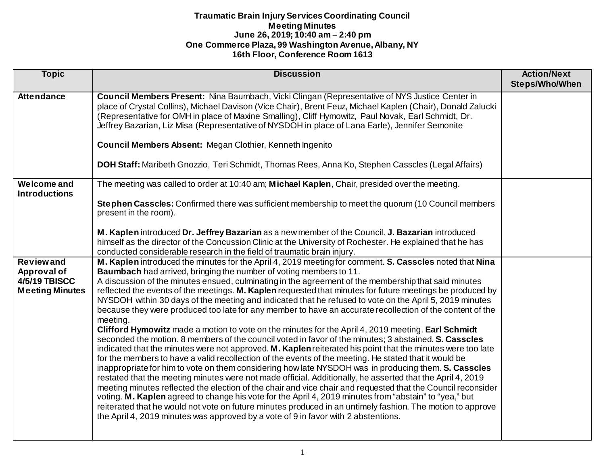| <b>Topic</b>                                                                      | <b>Discussion</b>                                                                                                                                                                                                                                                                                                                                                                                                                                                                                                                                                                                                                                                                                                                                                                                                                                                                                                                                                                                                                                                                                                                                                                                                                                                                                                                                                                                                                                                                                                                                                                                                                                                                                                                        | <b>Action/Next</b><br>Steps/Who/When |
|-----------------------------------------------------------------------------------|------------------------------------------------------------------------------------------------------------------------------------------------------------------------------------------------------------------------------------------------------------------------------------------------------------------------------------------------------------------------------------------------------------------------------------------------------------------------------------------------------------------------------------------------------------------------------------------------------------------------------------------------------------------------------------------------------------------------------------------------------------------------------------------------------------------------------------------------------------------------------------------------------------------------------------------------------------------------------------------------------------------------------------------------------------------------------------------------------------------------------------------------------------------------------------------------------------------------------------------------------------------------------------------------------------------------------------------------------------------------------------------------------------------------------------------------------------------------------------------------------------------------------------------------------------------------------------------------------------------------------------------------------------------------------------------------------------------------------------------|--------------------------------------|
|                                                                                   |                                                                                                                                                                                                                                                                                                                                                                                                                                                                                                                                                                                                                                                                                                                                                                                                                                                                                                                                                                                                                                                                                                                                                                                                                                                                                                                                                                                                                                                                                                                                                                                                                                                                                                                                          |                                      |
| <b>Attendance</b>                                                                 | Council Members Present: Nina Baumbach, Vicki Clingan (Representative of NYS Justice Center in<br>place of Crystal Collins), Michael Davison (Vice Chair), Brent Feuz, Michael Kaplen (Chair), Donald Zalucki<br>(Representative for OMH in place of Maxine Smalling), Cliff Hymowitz, Paul Novak, Earl Schmidt, Dr.<br>Jeffrey Bazarian, Liz Misa (Representative of NYSDOH in place of Lana Earle), Jennifer Semonite                                                                                                                                                                                                                                                                                                                                                                                                                                                                                                                                                                                                                                                                                                                                                                                                                                                                                                                                                                                                                                                                                                                                                                                                                                                                                                                  |                                      |
|                                                                                   | <b>Council Members Absent: Megan Clothier, Kenneth Ingenito</b>                                                                                                                                                                                                                                                                                                                                                                                                                                                                                                                                                                                                                                                                                                                                                                                                                                                                                                                                                                                                                                                                                                                                                                                                                                                                                                                                                                                                                                                                                                                                                                                                                                                                          |                                      |
|                                                                                   | DOH Staff: Maribeth Gnozzio, Teri Schmidt, Thomas Rees, Anna Ko, Stephen Casscles (Legal Affairs)                                                                                                                                                                                                                                                                                                                                                                                                                                                                                                                                                                                                                                                                                                                                                                                                                                                                                                                                                                                                                                                                                                                                                                                                                                                                                                                                                                                                                                                                                                                                                                                                                                        |                                      |
| <b>Welcome and</b><br><b>Introductions</b>                                        | The meeting was called to order at 10:40 am; Michael Kaplen, Chair, presided over the meeting.                                                                                                                                                                                                                                                                                                                                                                                                                                                                                                                                                                                                                                                                                                                                                                                                                                                                                                                                                                                                                                                                                                                                                                                                                                                                                                                                                                                                                                                                                                                                                                                                                                           |                                      |
|                                                                                   | Stephen Casscles: Confirmed there was sufficient membership to meet the quorum (10 Council members<br>present in the room).                                                                                                                                                                                                                                                                                                                                                                                                                                                                                                                                                                                                                                                                                                                                                                                                                                                                                                                                                                                                                                                                                                                                                                                                                                                                                                                                                                                                                                                                                                                                                                                                              |                                      |
|                                                                                   | M. Kaplen introduced Dr. Jeffrey Bazarian as a new member of the Council. J. Bazarian introduced<br>himself as the director of the Concussion Clinic at the University of Rochester. He explained that he has<br>conducted considerable research in the field of traumatic brain injury.                                                                                                                                                                                                                                                                                                                                                                                                                                                                                                                                                                                                                                                                                                                                                                                                                                                                                                                                                                                                                                                                                                                                                                                                                                                                                                                                                                                                                                                 |                                      |
| <b>Reviewand</b><br>Approval of<br><b>4/5/19 TBISCC</b><br><b>Meeting Minutes</b> | M. Kaplen introduced the minutes for the April 4, 2019 meeting for comment. S. Casscles noted that Nina<br><b>Baumbach</b> had arrived, bringing the number of voting members to 11.<br>A discussion of the minutes ensued, culminating in the agreement of the membership that said minutes<br>reflected the events of the meetings. M. Kaplen requested that minutes for future meetings be produced by<br>NYSDOH within 30 days of the meeting and indicated that he refused to vote on the April 5, 2019 minutes<br>because they were produced too late for any member to have an accurate recollection of the content of the<br>meeting.<br>Clifford Hymowitz made a motion to vote on the minutes for the April 4, 2019 meeting. Earl Schmidt<br>seconded the motion. 8 members of the council voted in favor of the minutes; 3 abstained. S. Casscles<br>indicated that the minutes were not approved. M. Kaplen reiterated his point that the minutes were too late<br>for the members to have a valid recollection of the events of the meeting. He stated that it would be<br>inappropriate for him to vote on them considering how late NYSDOH was in producing them. S. Casscles<br>restated that the meeting minutes were not made official. Additionally, he asserted that the April 4, 2019<br>meeting minutes reflected the election of the chair and vice chair and requested that the Council reconsider<br>voting. M. Kaplen agreed to change his vote for the April 4, 2019 minutes from "abstain" to "yea," but<br>reiterated that he would not vote on future minutes produced in an untimely fashion. The motion to approve<br>the April 4, 2019 minutes was approved by a vote of 9 in favor with 2 abstentions. |                                      |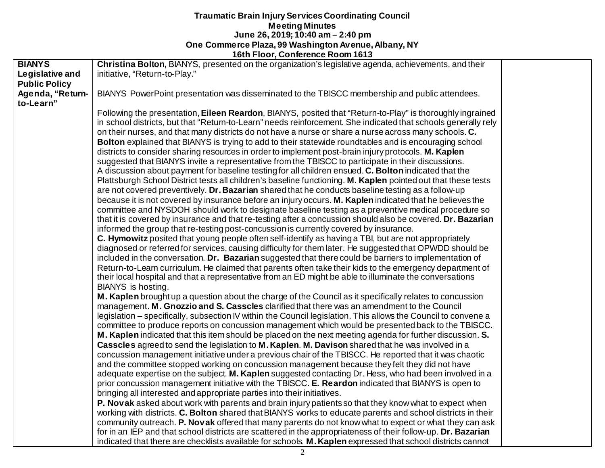|                      | <b>TULIT TOOT, CONTEINS ROOM TOTS</b>                                                                          |  |
|----------------------|----------------------------------------------------------------------------------------------------------------|--|
| <b>BIANYS</b>        | Christina Bolton, BIANYS, presented on the organization's legislative agenda, achievements, and their          |  |
| Legislative and      | initiative, "Return-to-Play."                                                                                  |  |
| <b>Public Policy</b> |                                                                                                                |  |
| Agenda, "Return-     | BIANYS PowerPoint presentation was disseminated to the TBISCC membership and public attendees.                 |  |
| to-Learn"            |                                                                                                                |  |
|                      | Following the presentation, Eileen Reardon, BIANYS, posited that "Return-to-Play" is thoroughly ingrained      |  |
|                      | in school districts, but that "Return-to-Learn" needs reinforcement. She indicated that schools generally rely |  |
|                      | on their nurses, and that many districts do not have a nurse or share a nurse across many schools. C.          |  |
|                      | Bolton explained that BIANYS is trying to add to their statewide roundtables and is encouraging school         |  |
|                      | districts to consider sharing resources in order to implement post-brain injury protocols. M. Kaplen           |  |
|                      | suggested that BIANYS invite a representative from the TBISCC to participate in their discussions.             |  |
|                      | A discussion about payment for baseline testing for all children ensued. C. Bolton indicated that the          |  |
|                      | Plattsburgh School District tests all children's baseline functioning. M. Kaplen pointed out that these tests  |  |
|                      | are not covered preventively. Dr. Bazarian shared that he conducts baseline testing as a follow-up             |  |
|                      | because it is not covered by insurance before an injury occurs. M. Kaplen indicated that he believes the       |  |
|                      |                                                                                                                |  |
|                      | committee and NYSDOH should work to designate baseline testing as a preventive medical procedure so            |  |
|                      | that it is covered by insurance and that re-testing after a concussion should also be covered. Dr. Bazarian    |  |
|                      | informed the group that re-testing post-concussion is currently covered by insurance.                          |  |
|                      | C. Hymowitz posited that young people often self-identify as having a TBI, but are not appropriately           |  |
|                      | diagnosed or referred for services, causing difficulty for them later. He suggested that OPWDD should be       |  |
|                      | included in the conversation. Dr. Bazarian suggested that there could be barriers to implementation of         |  |
|                      | Return-to-Learn curriculum. He claimed that parents often take their kids to the emergency department of       |  |
|                      | their local hospital and that a representative from an ED might be able to illuminate the conversations        |  |
|                      | BIANYS is hosting.                                                                                             |  |
|                      | M. Kaplen brought up a question about the charge of the Council as it specifically relates to concussion       |  |
|                      | management. M. Gnozzio and S. Casscles clarified that there was an amendment to the Council                    |  |
|                      | legislation – specifically, subsection IV within the Council legislation. This allows the Council to convene a |  |
|                      | committee to produce reports on concussion management which would be presented back to the TBISCC.             |  |
|                      | M. Kaplen indicated that this item should be placed on the next meeting agenda for further discussion. S.      |  |
|                      | Casscles agreed to send the legislation to M. Kaplen. M. Davison shared that he was involved in a              |  |
|                      | concussion management initiative under a previous chair of the TBISCC. He reported that it was chaotic         |  |
|                      | and the committee stopped working on concussion management because they felt they did not have                 |  |
|                      | adequate expertise on the subject. M. Kaplen suggested contacting Dr. Hess, who had been involved in a         |  |
|                      | prior concussion management initiative with the TBISCC. E. Reardon indicated that BIANYS is open to            |  |
|                      | bringing all interested and appropriate parties into their initiatives.                                        |  |
|                      | P. Novak asked about work with parents and brain injury patients so that they know what to expect when         |  |
|                      | working with districts. C. Bolton shared that BIANYS works to educate parents and school districts in their    |  |
|                      | community outreach. P. Novak offered that many parents do not know what to expect or what they can ask         |  |
|                      | for in an IEP and that school districts are scattered in the appropriateness of their follow-up. Dr. Bazarian  |  |
|                      | indicated that there are checklists available for schools. M. Kaplen expressed that school districts cannot    |  |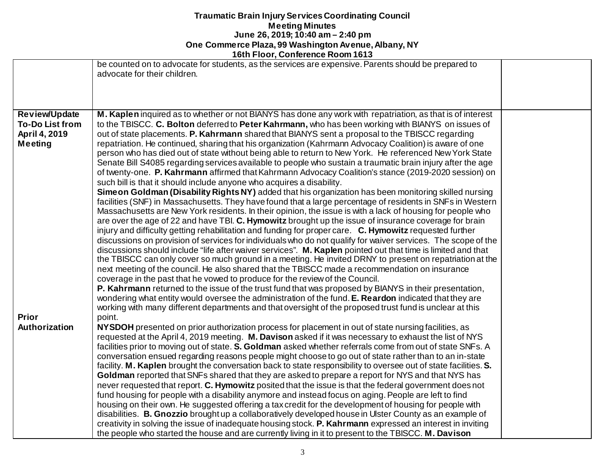|                        | <b>10011 1001, COMPLETICE ROOM</b> 1013                                                                                              |  |
|------------------------|--------------------------------------------------------------------------------------------------------------------------------------|--|
|                        | be counted on to advocate for students, as the services are expensive. Parents should be prepared to<br>advocate for their children. |  |
|                        |                                                                                                                                      |  |
| <b>Review/Update</b>   | M. Kaplen inquired as to whether or not BIANYS has done any work with repatriation, as that is of interest                           |  |
| <b>To-Do List from</b> | to the TBISCC. C. Bolton deferred to Peter Kahrmann, who has been working with BIANYS on issues of                                   |  |
| April 4, 2019          | out of state placements. P. Kahrmann shared that BIANYS sent a proposal to the TBISCC regarding                                      |  |
| Meeting                | repatriation. He continued, sharing that his organization (Kahrmann Advocacy Coalition) is aware of one                              |  |
|                        | person who has died out of state without being able to return to New York. He referenced New York State                              |  |
|                        | Senate Bill S4085 regarding services available to people who sustain a traumatic brain injury after the age                          |  |
|                        | of twenty-one. P. Kahrmann affirmed that Kahrmann Advocacy Coalition's stance (2019-2020 session) on                                 |  |
|                        | such bill is that it should include anyone who acquires a disability.                                                                |  |
|                        | Sime on Goldman (Disability Rights NY) added that his organization has been monitoring skilled nursing                               |  |
|                        | facilities (SNF) in Massachusetts. They have found that a large percentage of residents in SNFs in Western                           |  |
|                        | Massachusetts are New York residents. In their opinion, the issue is with a lack of housing for people who                           |  |
|                        | are over the age of 22 and have TBI. C. Hymowitz brought up the issue of insurance coverage for brain                                |  |
|                        | injury and difficulty getting rehabilitation and funding for proper care. C. Hymowitz requested further                              |  |
|                        | discussions on provision of services for individuals who do not qualify for waiver services. The scope of the                        |  |
|                        | discussions should include "life after waiver services". M. Kaplen pointed out that time is limited and that                         |  |
|                        | the TBISCC can only cover so much ground in a meeting. He invited DRNY to present on repatriation at the                             |  |
|                        | next meeting of the council. He also shared that the TBISCC made a recommendation on insurance                                       |  |
|                        | coverage in the past that he vowed to produce for the review of the Council.                                                         |  |
|                        | <b>P. Kahrmann</b> returned to the issue of the trust fund that was proposed by BIANYS in their presentation,                        |  |
|                        | wondering what entity would oversee the administration of the fund. E. Reardon indicated that they are                               |  |
|                        | working with many different departments and that oversight of the proposed trust fund is unclear at this                             |  |
| <b>Prior</b>           | point.                                                                                                                               |  |
| Authorization          | NYSDOH presented on prior authorization process for placement in out of state nursing facilities, as                                 |  |
|                        | requested at the April 4, 2019 meeting. M. Davison asked if it was necessary to exhaust the list of NYS                              |  |
|                        | facilities prior to moving out of state. S. Goldman asked whether referrals come from out of state SNFs. A                           |  |
|                        | conversation ensued regarding reasons people might choose to go out of state rather than to an in-state                              |  |
|                        | facility. M. Kaplen brought the conversation back to state responsibility to oversee out of state facilities. S.                     |  |
|                        | Goldman reported that SNFs shared that they are asked to prepare a report for NYS and that NYS has                                   |  |
|                        | never requested that report. C. Hymowitz posited that the issue is that the federal government does not                              |  |
|                        | fund housing for people with a disability anymore and instead focus on aging. People are left to find                                |  |
|                        | housing on their own. He suggested offering a tax credit for the development of housing for people with                              |  |
|                        | disabilities. B. Gnozzio brought up a collaboratively developed house in Ulster County as an example of                              |  |
|                        | creativity in solving the issue of inadequate housing stock. P. Kahrmann expressed an interest in inviting                           |  |
|                        | the people who started the house and are currently living in it to present to the TBISCC. M. Davison                                 |  |